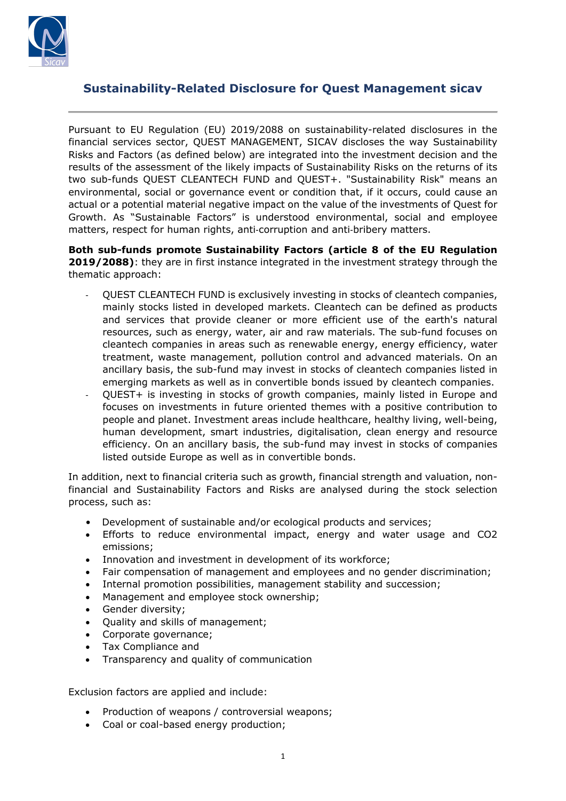

## **Sustainability-Related Disclosure for Quest Management sicav**

Pursuant to EU Regulation (EU) 2019/2088 on sustainability-related disclosures in the financial services sector, QUEST MANAGEMENT, SICAV discloses the way Sustainability Risks and Factors (as defined below) are integrated into the investment decision and the results of the assessment of the likely impacts of Sustainability Risks on the returns of its two sub-funds QUEST CLEANTECH FUND and QUEST+. "Sustainability Risk" means an environmental, social or governance event or condition that, if it occurs, could cause an actual or a potential material negative impact on the value of the investments of Quest for Growth. As "Sustainable Factors" is understood environmental, social and employee matters, respect for human rights, anti‐corruption and anti‐bribery matters.

**Both sub-funds promote Sustainability Factors (article 8 of the EU Regulation 2019/2088)**: they are in first instance integrated in the investment strategy through the thematic approach:

- QUEST CLEANTECH FUND is exclusively investing in stocks of cleantech companies, mainly stocks listed in developed markets. Cleantech can be defined as products and services that provide cleaner or more efficient use of the earth's natural resources, such as energy, water, air and raw materials. The sub-fund focuses on cleantech companies in areas such as renewable energy, energy efficiency, water treatment, waste management, pollution control and advanced materials. On an ancillary basis, the sub-fund may invest in stocks of cleantech companies listed in emerging markets as well as in convertible bonds issued by cleantech companies.
- QUEST+ is investing in stocks of growth companies, mainly listed in Europe and focuses on investments in future oriented themes with a positive contribution to people and planet. Investment areas include healthcare, healthy living, well-being, human development, smart industries, digitalisation, clean energy and resource efficiency. On an ancillary basis, the sub-fund may invest in stocks of companies listed outside Europe as well as in convertible bonds.

In addition, next to financial criteria such as growth, financial strength and valuation, nonfinancial and Sustainability Factors and Risks are analysed during the stock selection process, such as:

- Development of sustainable and/or ecological products and services;
- Efforts to reduce environmental impact, energy and water usage and CO2 emissions;
- Innovation and investment in development of its workforce;
- Fair compensation of management and employees and no gender discrimination;
- Internal promotion possibilities, management stability and succession;
- Management and employee stock ownership;
- Gender diversity;
- Quality and skills of management;
- Corporate governance;
- Tax Compliance and
- Transparency and quality of communication

Exclusion factors are applied and include:

- Production of weapons / controversial weapons;
- Coal or coal-based energy production;